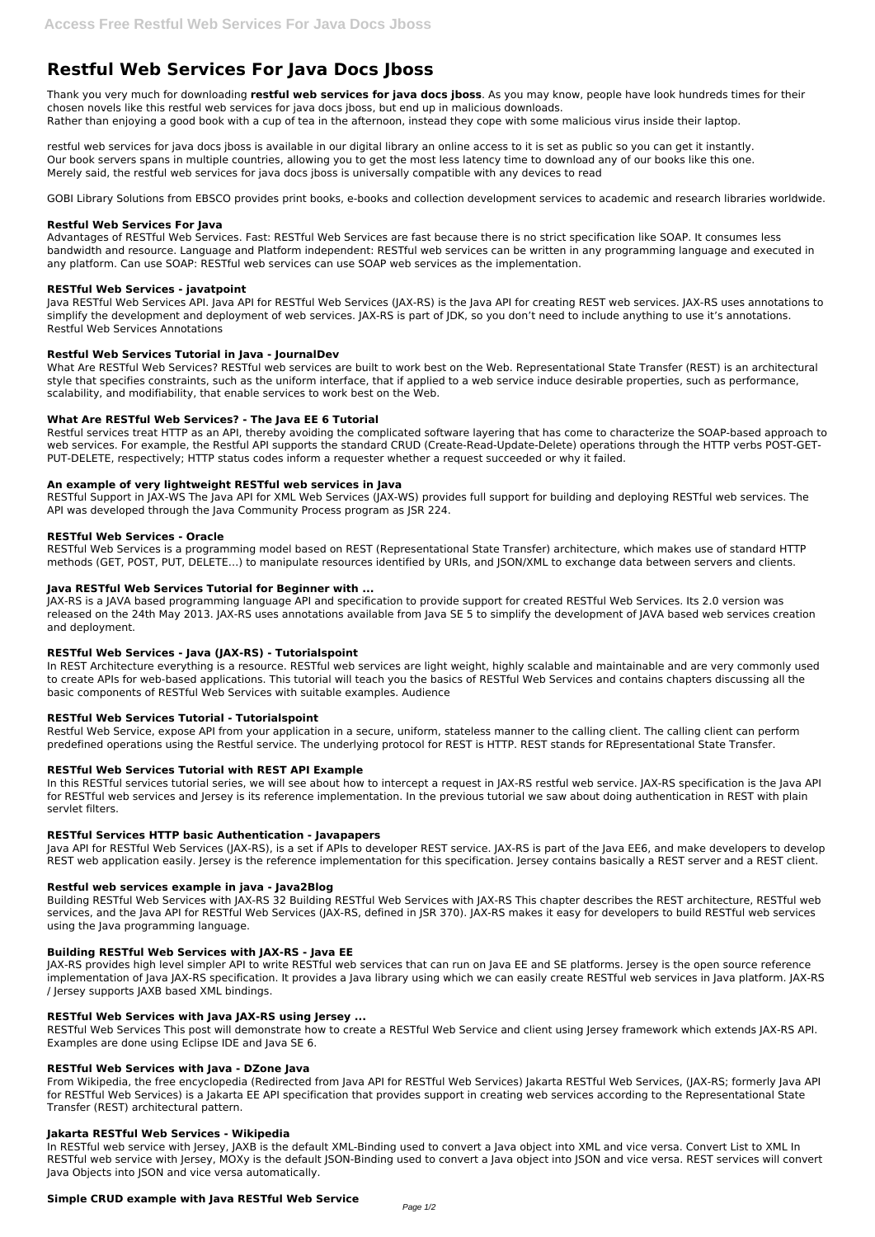# **Restful Web Services For Java Docs Jboss**

Thank you very much for downloading **restful web services for java docs jboss**. As you may know, people have look hundreds times for their chosen novels like this restful web services for java docs jboss, but end up in malicious downloads. Rather than enjoying a good book with a cup of tea in the afternoon, instead they cope with some malicious virus inside their laptop.

restful web services for java docs jboss is available in our digital library an online access to it is set as public so you can get it instantly. Our book servers spans in multiple countries, allowing you to get the most less latency time to download any of our books like this one. Merely said, the restful web services for java docs jboss is universally compatible with any devices to read

GOBI Library Solutions from EBSCO provides print books, e-books and collection development services to academic and research libraries worldwide.

#### **Restful Web Services For Java**

Advantages of RESTful Web Services. Fast: RESTful Web Services are fast because there is no strict specification like SOAP. It consumes less bandwidth and resource. Language and Platform independent: RESTful web services can be written in any programming language and executed in any platform. Can use SOAP: RESTful web services can use SOAP web services as the implementation.

#### **RESTful Web Services - javatpoint**

Java RESTful Web Services API. Java API for RESTful Web Services (JAX-RS) is the Java API for creating REST web services. JAX-RS uses annotations to simplify the development and deployment of web services. JAX-RS is part of JDK, so you don't need to include anything to use it's annotations. Restful Web Services Annotations

# **Restful Web Services Tutorial in Java - JournalDev**

What Are RESTful Web Services? RESTful web services are built to work best on the Web. Representational State Transfer (REST) is an architectural style that specifies constraints, such as the uniform interface, that if applied to a web service induce desirable properties, such as performance, scalability, and modifiability, that enable services to work best on the Web.

# **What Are RESTful Web Services? - The Java EE 6 Tutorial**

Java API for RESTful Web Services (JAX-RS), is a set if APIs to developer REST service. JAX-RS is part of the Java EE6, and make developers to develop REST web application easily. Jersey is the reference implementation for this specification. Jersey contains basically a REST server and a REST client.

Restful services treat HTTP as an API, thereby avoiding the complicated software layering that has come to characterize the SOAP-based approach to web services. For example, the Restful API supports the standard CRUD (Create-Read-Update-Delete) operations through the HTTP verbs POST-GET-PUT-DELETE, respectively; HTTP status codes inform a requester whether a request succeeded or why it failed.

#### **An example of very lightweight RESTful web services in Java**

RESTful Support in JAX-WS The Java API for XML Web Services (JAX-WS) provides full support for building and deploying RESTful web services. The API was developed through the Java Community Process program as JSR 224.

#### **RESTful Web Services - Oracle**

RESTful Web Services is a programming model based on REST (Representational State Transfer) architecture, which makes use of standard HTTP methods (GET, POST, PUT, DELETE…) to manipulate resources identified by URIs, and JSON/XML to exchange data between servers and clients.

#### **Java RESTful Web Services Tutorial for Beginner with ...**

JAX-RS is a JAVA based programming language API and specification to provide support for created RESTful Web Services. Its 2.0 version was released on the 24th May 2013. JAX-RS uses annotations available from Java SE 5 to simplify the development of JAVA based web services creation and deployment.

#### **RESTful Web Services - Java (JAX-RS) - Tutorialspoint**

In REST Architecture everything is a resource. RESTful web services are light weight, highly scalable and maintainable and are very commonly used to create APIs for web-based applications. This tutorial will teach you the basics of RESTful Web Services and contains chapters discussing all the basic components of RESTful Web Services with suitable examples. Audience

#### **RESTful Web Services Tutorial - Tutorialspoint**

Restful Web Service, expose API from your application in a secure, uniform, stateless manner to the calling client. The calling client can perform predefined operations using the Restful service. The underlying protocol for REST is HTTP. REST stands for REpresentational State Transfer.

#### **RESTful Web Services Tutorial with REST API Example**

In this RESTful services tutorial series, we will see about how to intercept a request in JAX-RS restful web service. JAX-RS specification is the Java API for RESTful web services and Jersey is its reference implementation. In the previous tutorial we saw about doing authentication in REST with plain servlet filters.

#### **RESTful Services HTTP basic Authentication - Javapapers**

#### **Restful web services example in java - Java2Blog**

Building RESTful Web Services with JAX-RS 32 Building RESTful Web Services with JAX-RS This chapter describes the REST architecture, RESTful web services, and the Java API for RESTful Web Services (JAX-RS, defined in JSR 370). JAX-RS makes it easy for developers to build RESTful web services using the Java programming language.

### **Building RESTful Web Services with JAX-RS - Java EE**

JAX-RS provides high level simpler API to write RESTful web services that can run on Java EE and SE platforms. Jersey is the open source reference implementation of Java JAX-RS specification. It provides a Java library using which we can easily create RESTful web services in Java platform. JAX-RS / Jersey supports JAXB based XML bindings.

#### **RESTful Web Services with Java JAX-RS using Jersey ...**

RESTful Web Services This post will demonstrate how to create a RESTful Web Service and client using Jersey framework which extends JAX-RS API. Examples are done using Eclipse IDE and Java SE 6.

#### **RESTful Web Services with Java - DZone Java**

From Wikipedia, the free encyclopedia (Redirected from Java API for RESTful Web Services) Jakarta RESTful Web Services, (JAX-RS; formerly Java API for RESTful Web Services) is a Jakarta EE API specification that provides support in creating web services according to the Representational State Transfer (REST) architectural pattern.

#### **Jakarta RESTful Web Services - Wikipedia**

In RESTful web service with Jersey, JAXB is the default XML-Binding used to convert a Java object into XML and vice versa. Convert List to XML In RESTful web service with Jersey, MOXy is the default JSON-Binding used to convert a Java object into JSON and vice versa. REST services will convert Java Objects into JSON and vice versa automatically.

#### **Simple CRUD example with Java RESTful Web Service**